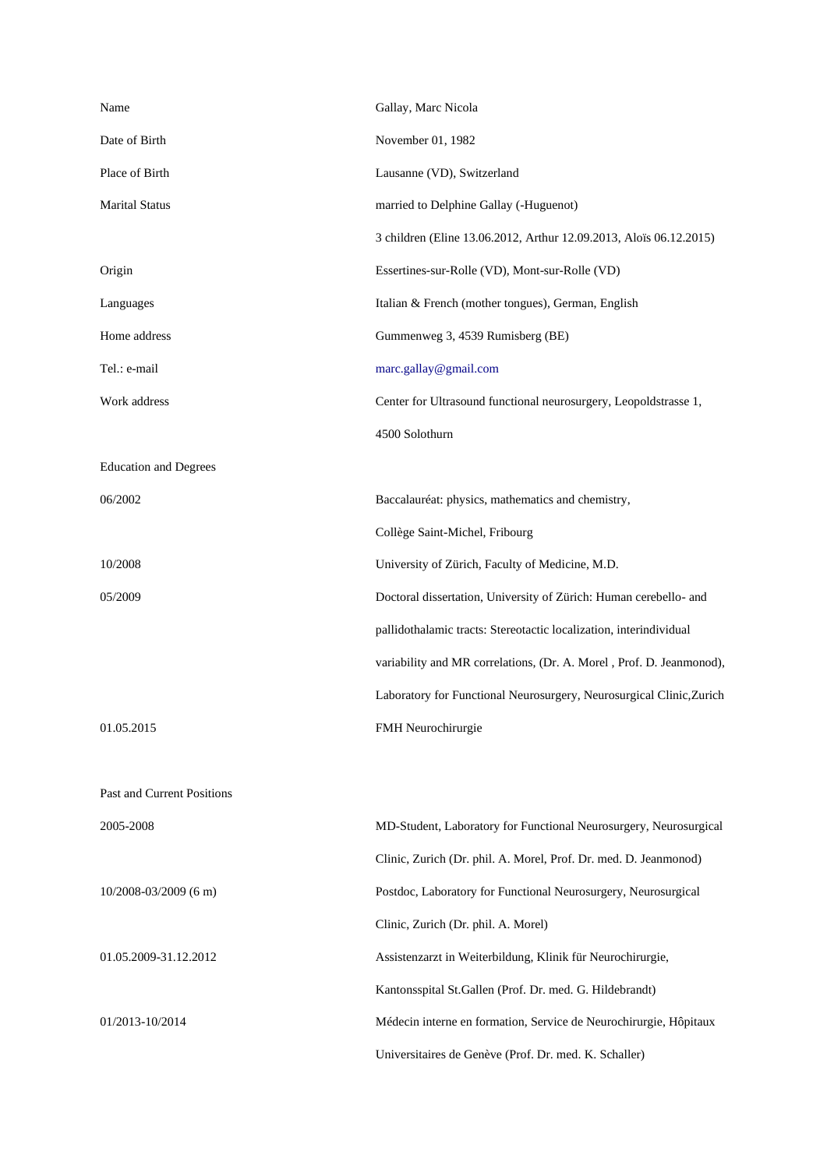| Name                         | Gallay, Marc Nicola                                                  |
|------------------------------|----------------------------------------------------------------------|
| Date of Birth                | November 01, 1982                                                    |
| Place of Birth               | Lausanne (VD), Switzerland                                           |
| <b>Marital Status</b>        | married to Delphine Gallay (-Huguenot)                               |
|                              | 3 children (Eline 13.06.2012, Arthur 12.09.2013, Aloïs 06.12.2015)   |
| Origin                       | Essertines-sur-Rolle (VD), Mont-sur-Rolle (VD)                       |
| Languages                    | Italian & French (mother tongues), German, English                   |
| Home address                 | Gummenweg 3, 4539 Rumisberg (BE)                                     |
| Tel.: e-mail                 | marc.gallay@gmail.com                                                |
| Work address                 | Center for Ultrasound functional neurosurgery, Leopoldstrasse 1,     |
|                              | 4500 Solothurn                                                       |
| <b>Education and Degrees</b> |                                                                      |
| 06/2002                      | Baccalauréat: physics, mathematics and chemistry,                    |
|                              | Collège Saint-Michel, Fribourg                                       |
| 10/2008                      | University of Zürich, Faculty of Medicine, M.D.                      |
| 05/2009                      | Doctoral dissertation, University of Zürich: Human cerebello- and    |
|                              | pallidothalamic tracts: Stereotactic localization, interindividual   |
|                              | variability and MR correlations, (Dr. A. Morel, Prof. D. Jeanmonod), |
|                              | Laboratory for Functional Neurosurgery, Neurosurgical Clinic, Zurich |
| 01.05.2015                   | FMH Neurochirurgie                                                   |
|                              |                                                                      |
| Past and Current Positions   |                                                                      |
| 2005-2008                    | MD-Student, Laboratory for Functional Neurosurgery, Neurosurgical    |
|                              | Clinic, Zurich (Dr. phil. A. Morel, Prof. Dr. med. D. Jeanmonod)     |
| $10/2008 - 03/2009$ (6 m)    | Postdoc, Laboratory for Functional Neurosurgery, Neurosurgical       |
|                              | Clinic, Zurich (Dr. phil. A. Morel)                                  |
| 01.05.2009-31.12.2012        | Assistenzarzt in Weiterbildung, Klinik für Neurochirurgie,           |
|                              | Kantonsspital St.Gallen (Prof. Dr. med. G. Hildebrandt)              |
| 01/2013-10/2014              | Médecin interne en formation, Service de Neurochirurgie, Hôpitaux    |
|                              | Universitaires de Genève (Prof. Dr. med. K. Schaller)                |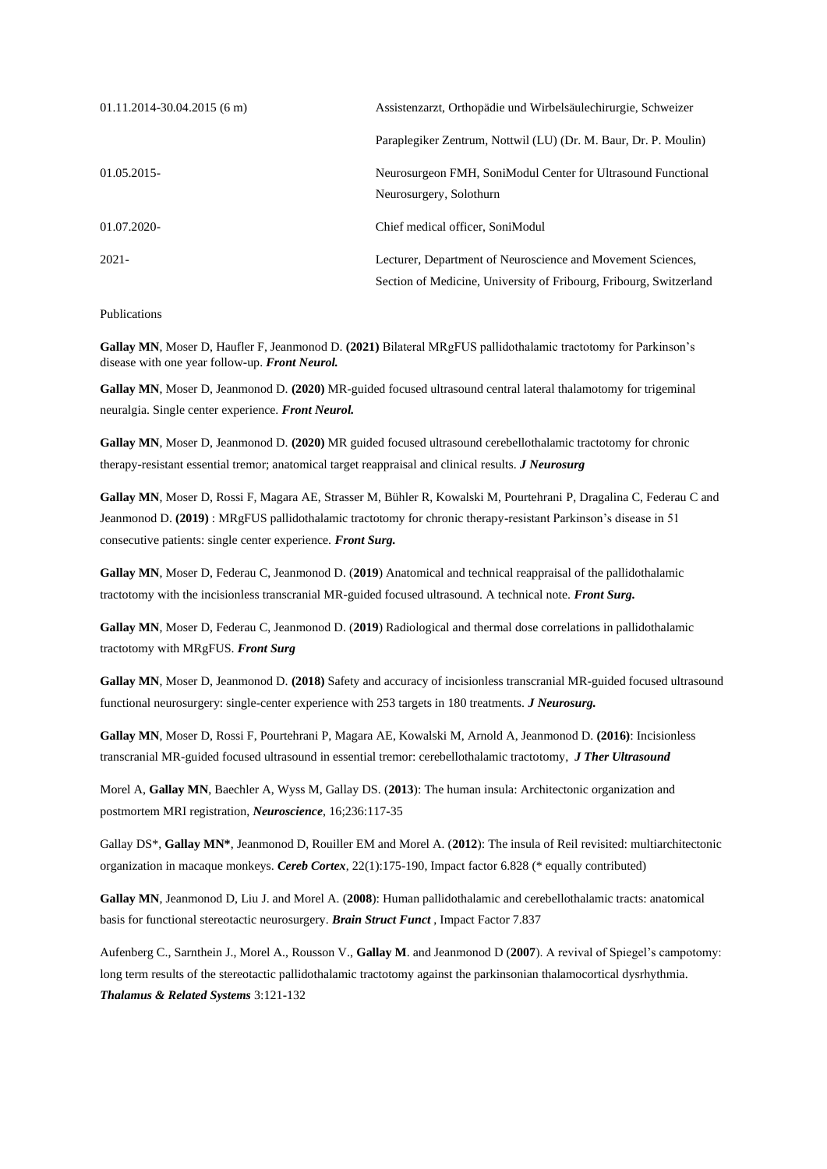| $01.11.2014 - 30.04.2015$ (6 m) | Assistenzarzt, Orthopädie und Wirbelsäulechirurgie, Schweizer      |
|---------------------------------|--------------------------------------------------------------------|
|                                 | Paraplegiker Zentrum, Nottwil (LU) (Dr. M. Baur, Dr. P. Moulin)    |
| 01.05.2015                      | Neurosurgeon FMH, SoniModul Center for Ultrasound Functional       |
|                                 | Neurosurgery, Solothurn                                            |
| 01.07.2020-                     | Chief medical officer, SoniModul                                   |
| $2021 -$                        | Lecturer, Department of Neuroscience and Movement Sciences,        |
|                                 | Section of Medicine, University of Fribourg, Fribourg, Switzerland |

Publications

**Gallay MN**, Moser D, Haufler F, Jeanmonod D. **(2021)** Bilateral MRgFUS pallidothalamic tractotomy for Parkinson's disease with one year follow-up. *Front Neurol.*

**Gallay MN**, Moser D, Jeanmonod D. **(2020)** MR-guided focused ultrasound central lateral thalamotomy for trigeminal neuralgia. Single center experience. *Front Neurol.*

**Gallay MN**, Moser D, Jeanmonod D. **(2020)** MR guided focused ultrasound cerebellothalamic tractotomy for chronic therapy-resistant essential tremor; anatomical target reappraisal and clinical results. *J Neurosurg*

**Gallay MN**, Moser D, Rossi F, Magara AE, Strasser M, Bühler R, Kowalski M, Pourtehrani P, Dragalina C, Federau C and Jeanmonod D. **(2019)** : MRgFUS pallidothalamic tractotomy for chronic therapy-resistant Parkinson's disease in 51 consecutive patients: single center experience. *Front Surg.*

**Gallay MN**, Moser D, Federau C, Jeanmonod D. (**2019**) Anatomical and technical reappraisal of the pallidothalamic tractotomy with the incisionless transcranial MR-guided focused ultrasound. A technical note. *Front Surg.*

**Gallay MN**, Moser D, Federau C, Jeanmonod D. (**2019**) Radiological and thermal dose correlations in pallidothalamic tractotomy with MRgFUS. *Front Surg*

**Gallay MN**, Moser D, Jeanmonod D. **(2018)** Safety and accuracy of incisionless transcranial MR-guided focused ultrasound functional neurosurgery: single-center experience with 253 targets in 180 treatments. *J Neurosurg.*

**[Gallay MN](https://www.ncbi.nlm.nih.gov/pubmed/?term=Gallay%20MN%5BAuthor%5D&cauthor=true&cauthor_uid=26877873)**[, Moser D,](https://www.ncbi.nlm.nih.gov/pubmed/?term=Moser%20D%5BAuthor%5D&cauthor=true&cauthor_uid=26877873) [Rossi F,](https://www.ncbi.nlm.nih.gov/pubmed/?term=Rossi%20F%5BAuthor%5D&cauthor=true&cauthor_uid=26877873) [Pourtehrani P,](https://www.ncbi.nlm.nih.gov/pubmed/?term=Pourtehrani%20P%5BAuthor%5D&cauthor=true&cauthor_uid=26877873) [Magara AE,](https://www.ncbi.nlm.nih.gov/pubmed/?term=Magara%20AE%5BAuthor%5D&cauthor=true&cauthor_uid=26877873) [Kowalski M,](https://www.ncbi.nlm.nih.gov/pubmed/?term=Kowalski%20M%5BAuthor%5D&cauthor=true&cauthor_uid=26877873) [Arnold A,](https://www.ncbi.nlm.nih.gov/pubmed/?term=Arnold%20A%5BAuthor%5D&cauthor=true&cauthor_uid=26877873) [Jeanmonod D.](https://www.ncbi.nlm.nih.gov/pubmed/?term=Jeanmonod%20D%5BAuthor%5D&cauthor=true&cauthor_uid=26877873) **(2016)**: Incisionless transcranial MR-guided focused ultrasound in essential tremor: cerebellothalamic tractotomy, *[J Ther Ultrasound](https://www.ncbi.nlm.nih.gov/pubmed/?term=incisionless+gallay)*

Morel A, **Gallay MN**, Baechler A, Wyss M, Gallay DS. (**2013**): The human insula: Architectonic organization and postmortem MRI registration, *Neuroscience*, 16;236:117-35

Gallay DS\*, **Gallay MN\***, Jeanmonod D, Rouiller EM and Morel A. (**2012**): The insula of Reil revisited: multiarchitectonic organization in macaque monkeys. *Cereb Cortex*, 22(1):175-190, Impact factor 6.828 (\* equally contributed)

**Gallay MN**, Jeanmonod D, Liu J. and Morel A. (**2008**): Human pallidothalamic and cerebellothalamic tracts: anatomical basis for functional stereotactic neurosurgery. *Brain Struct Funct* , Impact Factor 7.837

Aufenberg C., Sarnthein J., Morel A., Rousson V., **Gallay M**. and Jeanmonod D (**2007**). A revival of Spiegel's campotomy: long term results of the stereotactic pallidothalamic tractotomy against the parkinsonian thalamocortical dysrhythmia. *Thalamus & Related Systems* 3:121-132